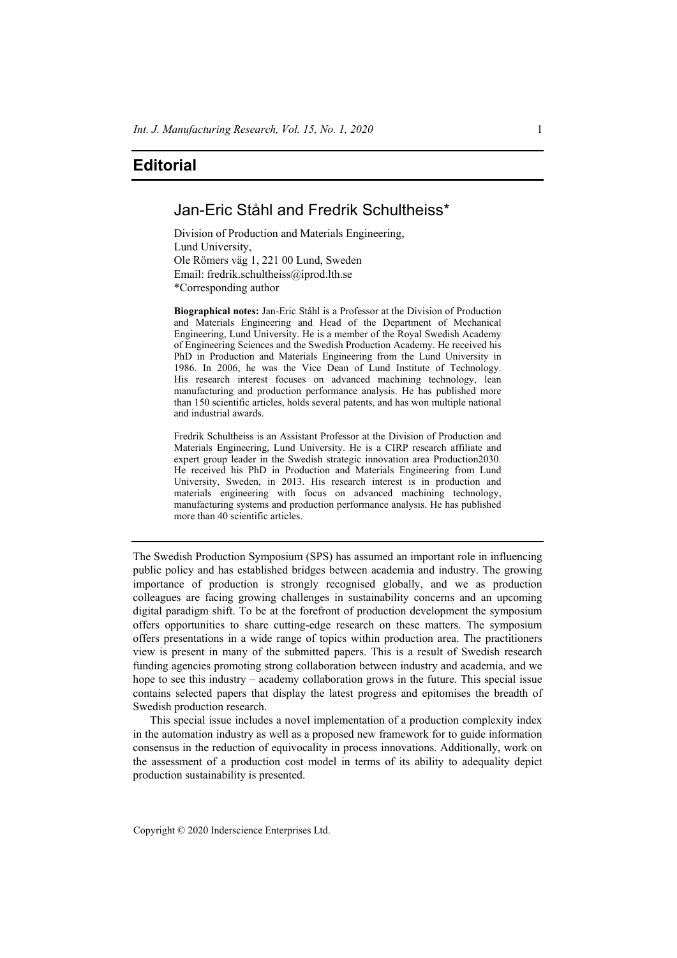## **Editorial**

## Jan-Eric Ståhl and Fredrik Schultheiss\*

Division of Production and Materials Engineering, Lund University, Ole Römers väg 1, 221 00 Lund, Sweden Email: fredrik.schultheiss@iprod.lth.se \*Corresponding author

**Biographical notes:** Jan-Eric Ståhl is a Professor at the Division of Production and Materials Engineering and Head of the Department of Mechanical Engineering, Lund University. He is a member of the Royal Swedish Academy of Engineering Sciences and the Swedish Production Academy. He received his PhD in Production and Materials Engineering from the Lund University in 1986. In 2006, he was the Vice Dean of Lund Institute of Technology. His research interest focuses on advanced machining technology, lean manufacturing and production performance analysis. He has published more than 150 scientific articles, holds several patents, and has won multiple national and industrial awards.

Fredrik Schultheiss is an Assistant Professor at the Division of Production and Materials Engineering, Lund University. He is a CIRP research affiliate and expert group leader in the Swedish strategic innovation area Production2030. He received his PhD in Production and Materials Engineering from Lund University, Sweden, in 2013. His research interest is in production and materials engineering with focus on advanced machining technology, manufacturing systems and production performance analysis. He has published more than 40 scientific articles.

The Swedish Production Symposium (SPS) has assumed an important role in influencing public policy and has established bridges between academia and industry. The growing importance of production is strongly recognised globally, and we as production colleagues are facing growing challenges in sustainability concerns and an upcoming digital paradigm shift. To be at the forefront of production development the symposium offers opportunities to share cutting-edge research on these matters. The symposium offers presentations in a wide range of topics within production area. The practitioners view is present in many of the submitted papers. This is a result of Swedish research funding agencies promoting strong collaboration between industry and academia, and we hope to see this industry – academy collaboration grows in the future. This special issue contains selected papers that display the latest progress and epitomises the breadth of Swedish production research.

This special issue includes a novel implementation of a production complexity index in the automation industry as well as a proposed new framework for to guide information consensus in the reduction of equivocality in process innovations. Additionally, work on the assessment of a production cost model in terms of its ability to adequality depict production sustainability is presented.